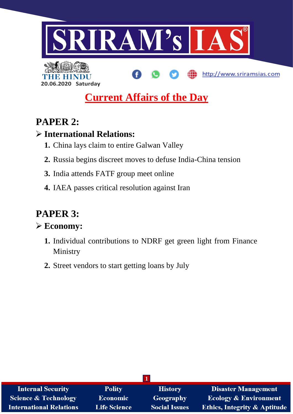



# **Current Affairs of the Day**

# **PAPER 2:**

# **International Relations:**

- **1.** China lays claim to entire Galwan Valley
- **2.** Russia begins discreet moves to defuse India-China tension
- **3.** India attends FATF group meet online
- **4.** IAEA passes critical resolution against Iran

# **PAPER 3:**

# **Economy:**

- **1.** Individual contributions to NDRF get green light from Finance Ministry
- **2.** Street vendors to start getting loans by July

| <b>Internal Security</b>        | <b>Polity</b>       | <b>History</b>       | <b>Disaster Management</b>              |  |
|---------------------------------|---------------------|----------------------|-----------------------------------------|--|
| <b>Science &amp; Technology</b> | <b>Economic</b>     | Geography            | <b>Ecology &amp; Environment</b>        |  |
| <b>International Relations</b>  | <b>Life Science</b> | <b>Social Issues</b> | <b>Ethics, Integrity &amp; Aptitude</b> |  |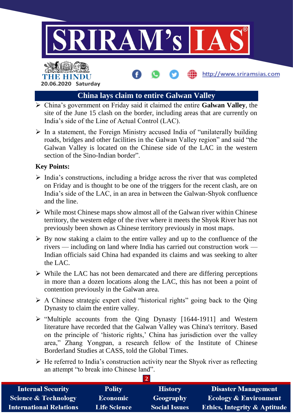

# THE HIN **20.06.2020 Saturday**

# **China lays claim to entire Galwan Valley**

- China's government on Friday said it claimed the entire **Galwan Valley**, the site of the June 15 clash on the border, including areas that are currently on India's side of the Line of Actual Control (LAC).
- $\triangleright$  In a statement, the Foreign Ministry accused India of "unilaterally building" roads, bridges and other facilities in the Galwan Valley region" and said "the Galwan Valley is located on the Chinese side of the LAC in the western section of the Sino-Indian border".

#### **Key Points:**

- $\triangleright$  India's constructions, including a bridge across the river that was completed on Friday and is thought to be one of the triggers for the recent clash, are on India's side of the LAC, in an area in between the Galwan-Shyok confluence and the line.
- $\triangleright$  While most Chinese maps show almost all of the Galwan river within Chinese territory, the western edge of the river where it meets the Shyok River has not previously been shown as Chinese territory previously in most maps.
- $\triangleright$  By now staking a claim to the entire valley and up to the confluence of the rivers — including on land where India has carried out construction work — Indian officials said China had expanded its claims and was seeking to alter the LAC.
- $\triangleright$  While the LAC has not been demarcated and there are differing perceptions in more than a dozen locations along the LAC, this has not been a point of contention previously in the Galwan area.
- $\triangleright$  A Chinese strategic expert cited "historical rights" going back to the Qing Dynasty to claim the entire valley.
- $\triangleright$  "Multiple accounts from the Qing Dynasty [1644-1911] and Western literature have recorded that the Galwan Valley was China's territory. Based on the principle of 'historic rights,' China has jurisdiction over the valley area," Zhang Yongpan, a research fellow of the Institute of Chinese Borderland Studies at CASS, told the Global Times.
- $\triangleright$  He referred to India's construction activity near the Shyok river as reflecting an attempt "to break into Chinese land".

| <b>Internal Security</b>        | <b>Polity</b>       | <b>History</b>       | <b>Disaster Management</b>              |  |
|---------------------------------|---------------------|----------------------|-----------------------------------------|--|
| <b>Science &amp; Technology</b> | <b>Economic</b>     | Geography            | <b>Ecology &amp; Environment</b>        |  |
| <b>International Relations</b>  | <b>Life Science</b> | <b>Social Issues</b> | <b>Ethics, Integrity &amp; Aptitude</b> |  |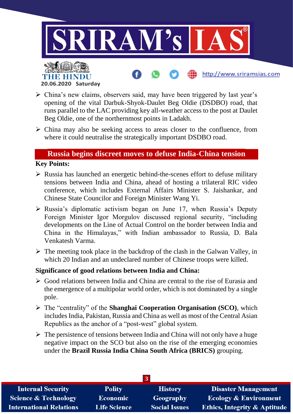

- China's new claims, observers said, may have been triggered by last year's opening of the vital Darbuk-Shyok-Daulet Beg Oldie (DSDBO) road, that runs parallel to the LAC providing key all-weather access to the post at Daulet Beg Oldie, one of the northernmost points in Ladakh.
- $\triangleright$  China may also be seeking access to areas closer to the confluence, from where it could neutralise the strategically important DSDBO road.

#### **Russia begins discreet moves to defuse India-China tension**

#### **Key Points:**

- $\triangleright$  Russia has launched an energetic behind-the-scenes effort to defuse military tensions between India and China, ahead of hosting a trilateral RIC video conference, which includes External Affairs Minister S. Jaishankar, and Chinese State Councilor and Foreign Minister Wang Yi.
- $\triangleright$  Russia's diplomatic activism began on June 17, when Russia's Deputy Foreign Minister Igor Morgulov discussed regional security, "including developments on the Line of Actual Control on the border between India and China in the Himalayas," with Indian ambassador to Russia, D. Bala Venkatesh Varma.
- $\triangleright$  The meeting took place in the backdrop of the clash in the Galwan Valley, in which 20 Indian and an undeclared number of Chinese troops were killed.

#### **Significance of good relations between India and China:**

- Good relations between India and China are central to the rise of Eurasia and the emergence of a multipolar world order, which is not dominated by a single pole.
- The "centrality" of the **Shanghai Cooperation Organisation (SCO)**, which includes India, Pakistan, Russia and China as well as most of the Central Asian Republics as the anchor of a "post-west" global system.
- $\triangleright$  The persistence of tensions between India and China will not only have a huge negative impact on the SCO but also on the rise of the emerging economies under the **Brazil Russia India China South Africa (BRICS)** grouping.

| <b>Internal Security</b>        | <b>Polity</b>       | <b>History</b>       | <b>Disaster Management</b>              |  |
|---------------------------------|---------------------|----------------------|-----------------------------------------|--|
| <b>Science &amp; Technology</b> | <b>Economic</b>     | Geography            | <b>Ecology &amp; Environment</b>        |  |
| <b>International Relations</b>  | <b>Life Science</b> | <b>Social Issues</b> | <b>Ethics, Integrity &amp; Aptitude</b> |  |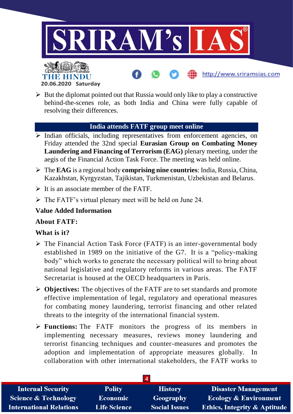

- **20.06.2020 Saturday**
- $\triangleright$  But the diplomat pointed out that Russia would only like to play a constructive behind-the-scenes role, as both India and China were fully capable of resolving their differences.

#### **India attends FATF group meet online**

- $\triangleright$  Indian officials, including representatives from enforcement agencies, on Friday attended the 32nd special **Eurasian Group on Combating Money Laundering and Financing of Terrorism (EAG)** plenary meeting, under the aegis of the Financial Action Task Force. The meeting was held online.
- The **EAG** is a regional body **comprising nine countries**: India, Russia, China, Kazakhstan, Kyrgyzstan, Tajikistan, Turkmenistan, Uzbekistan and Belarus.
- $\triangleright$  It is an associate member of the FATF.
- $\triangleright$  The FATF's virtual plenary meet will be held on June 24.

## **Value Added Information**

#### **About FATF:**

## **What is it?**

- $\triangleright$  The Financial Action Task Force (FATF) is an inter-governmental body established in 1989 on the initiative of the G7. It is a "policy-making body" which works to generate the necessary political will to bring about national legislative and regulatory reforms in various areas. The FATF Secretariat is housed at the OECD headquarters in Paris.
- **Objectives:** The objectives of the FATF are to set standards and promote effective implementation of legal, regulatory and operational measures for combating money laundering, terrorist financing and other related threats to the integrity of the international financial system.
- **Functions:** The FATF monitors the progress of its members in implementing necessary measures, reviews money laundering and terrorist financing techniques and counter-measures and promotes the adoption and implementation of appropriate measures globally. In collaboration with other international stakeholders, the FATF works to

| <b>Internal Security</b>        | <b>Polity</b>       | <b>History</b>       | <b>Disaster Management</b>              |
|---------------------------------|---------------------|----------------------|-----------------------------------------|
| <b>Science &amp; Technology</b> | <b>Economic</b>     | Geography            | <b>Ecology &amp; Environment</b>        |
| <b>International Relations</b>  | <b>Life Science</b> | <b>Social Issues</b> | <b>Ethics, Integrity &amp; Aptitude</b> |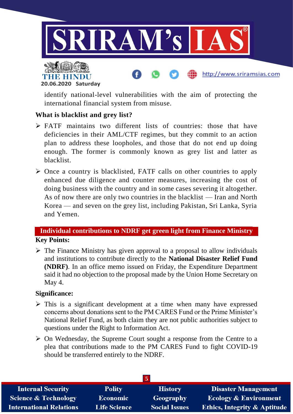



identify national-level vulnerabilities with the aim of protecting the international financial system from misuse.

## **What is blacklist and grey list?**

- $\triangleright$  FATF maintains two different lists of countries: those that have deficiencies in their AML/CTF regimes, but they commit to an action plan to address these loopholes, and those that do not end up doing enough. The former is commonly known as grey list and latter as blacklist.
- $\triangleright$  Once a country is blacklisted, FATF calls on other countries to apply enhanced due diligence and counter measures, increasing the cost of doing business with the country and in some cases severing it altogether. As of now there are only two countries in the blacklist — Iran and North Korea — and seven on the grey list, including Pakistan, Sri Lanka, Syria and Yemen.

# **Individual contributions to NDRF get green light from Finance Ministry Key Points:**

 $\triangleright$  The Finance Ministry has given approval to a proposal to allow individuals and institutions to contribute directly to the **National Disaster Relief Fund (NDRF)**. In an office memo issued on Friday, the Expenditure Department said it had no objection to the proposal made by the Union Home Secretary on May 4.

## **Significance:**

- $\triangleright$  This is a significant development at a time when many have expressed concerns about donations sent to the PM CARES Fund or the Prime Minister's National Relief Fund, as both claim they are not public authorities subject to questions under the Right to Information Act.
- $\triangleright$  On Wednesday, the Supreme Court sought a response from the Centre to a plea that contributions made to the PM CARES Fund to fight COVID-19 should be transferred entirely to the NDRF.

| <b>Internal Security</b>        | <b>Polity</b>       | <b>History</b>       | <b>Disaster Management</b>              |  |
|---------------------------------|---------------------|----------------------|-----------------------------------------|--|
| <b>Science &amp; Technology</b> | Economic            | Geography            | <b>Ecology &amp; Environment</b>        |  |
| <b>International Relations</b>  | <b>Life Science</b> | <b>Social Issues</b> | <b>Ethics, Integrity &amp; Aptitude</b> |  |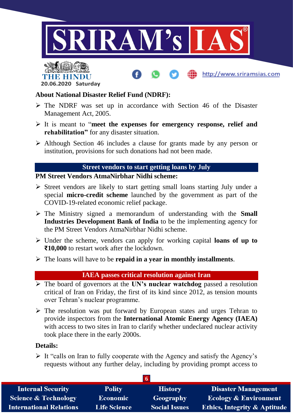



#### **About National Disaster Relief Fund (NDRF):**

- $\triangleright$  The NDRF was set up in accordance with Section 46 of the Disaster Management Act, 2005.
- It is meant to "**meet the expenses for emergency response, relief and rehabilitation"** for any disaster situation.
- Although Section 46 includes a clause for grants made by any person or institution, provisions for such donations had not been made.

#### **Street vendors to start getting loans by July**

#### **PM Street Vendors AtmaNirbhar Nidhi scheme:**

- $\triangleright$  Street vendors are likely to start getting small loans starting July under a special **micro-credit scheme** launched by the government as part of the COVID-19-related economic relief package.
- The Ministry signed a memorandum of understanding with the **Small Industries Development Bank of India** to be the implementing agency for the PM Street Vendors AtmaNirbhar Nidhi scheme.
- Under the scheme, vendors can apply for working capital **loans of up to ₹10,000** to restart work after the lockdown.
- The loans will have to be **repaid in a year in monthly installments**.

#### **IAEA passes critical resolution against Iran**

- The board of governors at the **UN's nuclear watchdog** passed a resolution critical of Iran on Friday, the first of its kind since 2012, as tension mounts over Tehran's nuclear programme.
- $\triangleright$  The resolution was put forward by European states and urges Tehran to provide inspectors from the **International Atomic Energy Agency (IAEA)** with access to two sites in Iran to clarify whether undeclared nuclear activity took place there in the early 2000s.

#### **Details:**

 $\triangleright$  It "calls on Iran to fully cooperate with the Agency and satisfy the Agency's requests without any further delay, including by providing prompt access to

| <b>Internal Security</b>        | <b>Polity</b>       | <b>History</b>       | <b>Disaster Management</b>              |  |
|---------------------------------|---------------------|----------------------|-----------------------------------------|--|
| <b>Science &amp; Technology</b> | <b>Economic</b>     | Geography            | <b>Ecology &amp; Environment</b>        |  |
| <b>International Relations</b>  | <b>Life Science</b> | <b>Social Issues</b> | <b>Ethics, Integrity &amp; Aptitude</b> |  |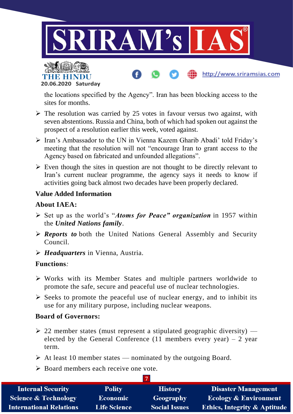



the locations specified by the Agency". Iran has been blocking access to the sites for months.

http://www.sriramsias.com

- $\triangleright$  The resolution was carried by 25 votes in favour versus two against, with seven abstentions. Russia and China, both of which had spoken out against the prospect of a resolution earlier this week, voted against.
- Iran's Ambassador to the UN in Vienna Kazem Gharib Abadi' told Friday's meeting that the resolution will not "encourage Iran to grant access to the Agency based on fabricated and unfounded allegations".
- $\triangleright$  Even though the sites in question are not thought to be directly relevant to Iran's current nuclear programme, the agency says it needs to know if activities going back almost two decades have been properly declared.

## **Value Added Information**

# **About IAEA:**

- Set up as the world's "*Atoms for Peace" organization* in 1957 within the *United Nations family*.
- *Reports to* both the United Nations General Assembly and Security Council.
- *Headquarters* in Vienna, Austria.

## **Functions***:*

- $\triangleright$  Works with its Member States and multiple partners worldwide to promote the safe, secure and peaceful use of nuclear technologies.
- $\triangleright$  Seeks to promote the peaceful use of nuclear energy, and to inhibit its use for any military purpose, including nuclear weapons.

## **Board of Governors:**

- $\geq$  22 member states (must represent a stipulated geographic diversity) elected by the General Conference (11 members every year) – 2 year term.
- $\triangleright$  At least 10 member states nominated by the outgoing Board.
- $\triangleright$  Board members each receive one vote.

| <b>Internal Security</b>        | <b>Polity</b>       | <b>History</b>       | <b>Disaster Management</b>              |  |
|---------------------------------|---------------------|----------------------|-----------------------------------------|--|
| <b>Science &amp; Technology</b> | <b>Economic</b>     | Geography            | <b>Ecology &amp; Environment</b>        |  |
| <b>International Relations</b>  | <b>Life Science</b> | <b>Social Issues</b> | <b>Ethics, Integrity &amp; Aptitude</b> |  |